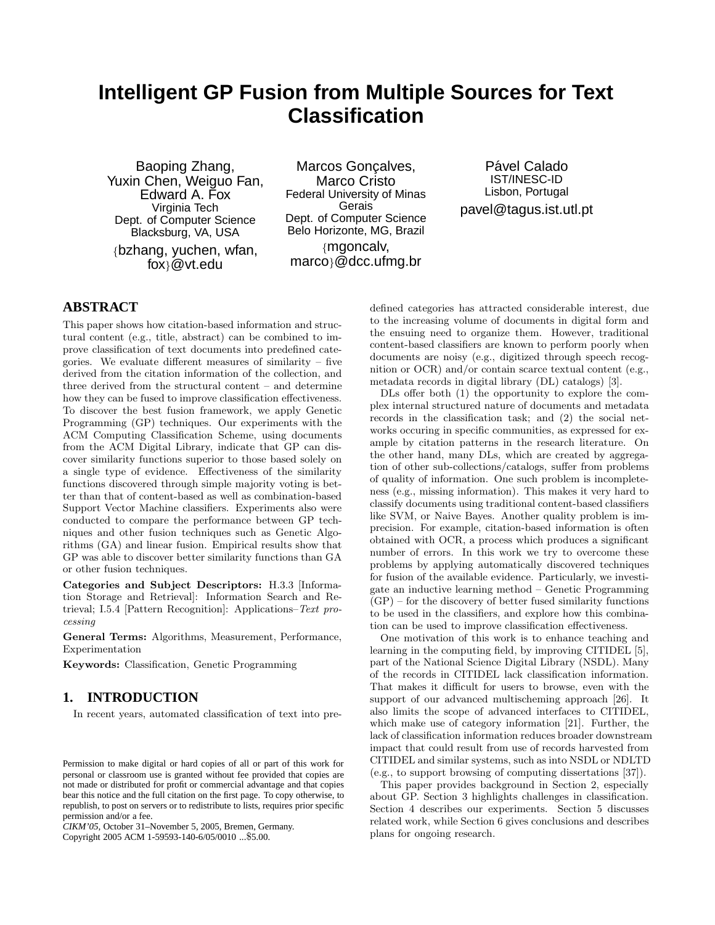# **Intelligent GP Fusion from Multiple Sources for Text Classification**

Baoping Zhang, Yuxin Chen, Weiguo Fan, Edward A. Fox Virginia Tech Dept. of Computer Science Blacksburg, VA, USA *{*bzhang, yuchen, wfan, fox*}*@vt.edu

Marcos Goncalves, Marco Cristo Federal University of Minas Gerais Dept. of Computer Science Belo Horizonte, MG, Brazil *{*mgoncalv, marco*}*@dcc.ufmg.br

Pável Calado IST/INESC-ID Lisbon, Portugal pavel@tagus.ist.utl.pt

# **ABSTRACT**

This paper shows how citation-based information and structural content (e.g., title, abstract) can be combined to improve classification of text documents into predefined categories. We evaluate different measures of similarity  $-$  five derived from the citation information of the collection, and three derived from the structural content – and determine how they can be fused to improve classification effectiveness. To discover the best fusion framework, we apply Genetic Programming (GP) techniques. Our experiments with the ACM Computing Classification Scheme, using documents from the ACM Digital Library, indicate that GP can discover similarity functions superior to those based solely on a single type of evidence. Effectiveness of the similarity functions discovered through simple majority voting is better than that of content-based as well as combination-based Support Vector Machine classifiers. Experiments also were conducted to compare the performance between GP techniques and other fusion techniques such as Genetic Algorithms (GA) and linear fusion. Empirical results show that GP was able to discover better similarity functions than GA or other fusion techniques.

**Categories and Subject Descriptors:** H.3.3 [Information Storage and Retrieval]: Information Search and Retrieval; I.5.4 [Pattern Recognition]: Applications–*Text pro-*

*cessing* **General Terms:** Algorithms, Measurement, Performance, Experimentation

**Keywords:** Classification, Genetic Programming

## **1. INTRODUCTION**

In recent years, automated classification of text into pre-

*CIKM'05,* October 31–November 5, 2005, Bremen, Germany.

Copyright 2005 ACM 1-59593-140-6/05/0010 ...\$5.00.

defined categories has attracted considerable interest, due to the increasing volume of documents in digital form and the ensuing need to organize them. However, traditional content-based classifiers are known to perform poorly when documents are noisy (e.g., digitized through speech recognition or OCR) and/or contain scarce textual content (e.g., metadata records in digital library (DL) catalogs) [3].

DLs offer both (1) the opportunity to explore the complex internal structured nature of documents and metadata records in the classification task; and (2) the social networks occuring in specific communities, as expressed for example by citation patterns in the research literature. On the other hand, many DLs, which are created by aggregation of other sub-collections/catalogs, suffer from problems of quality of information. One such problem is incompleteness (e.g., missing information). This makes it very hard to classify documents using traditional content-based classifiers like SVM, or Naive Bayes. Another quality problem is imprecision. For example, citation-based information is often obtained with OCR, a process which produces a significant number of errors. In this work we try to overcome these problems by applying automatically discovered techniques for fusion of the available evidence. Particularly, we investigate an inductive learning method – Genetic Programming  $(GP)$  – for the discovery of better fused similarity functions to be used in the classifiers, and explore how this combination can be used to improve classification effectiveness.

One motivation of this work is to enhance teaching and learning in the computing field, by improving CITIDEL [5], part of the National Science Digital Library (NSDL). Many of the records in CITIDEL lack classification information. That makes it difficult for users to browse, even with the support of our advanced multischeming approach [26]. It also limits the scope of advanced interfaces to CITIDEL, which make use of category information [21]. Further, the lack of classification information reduces broader downstream impact that could result from use of records harvested from CITIDEL and similar systems, such as into NSDL or NDLTD (e.g., to support browsing of computing dissertations [37]).

This paper provides background in Section 2, especially about GP. Section 3 highlights challenges in classification. Section 4 describes our experiments. Section 5 discusses related work, while Section 6 gives conclusions and describes plans for ongoing research.

Permission to make digital or hard copies of all or part of this work for personal or classroom use is granted without fee provided that copies are not made or distributed for profit or commercial advantage and that copies bear this notice and the full citation on the first page. To copy otherwise, to republish, to post on servers or to redistribute to lists, requires prior specific permission and/or a fee.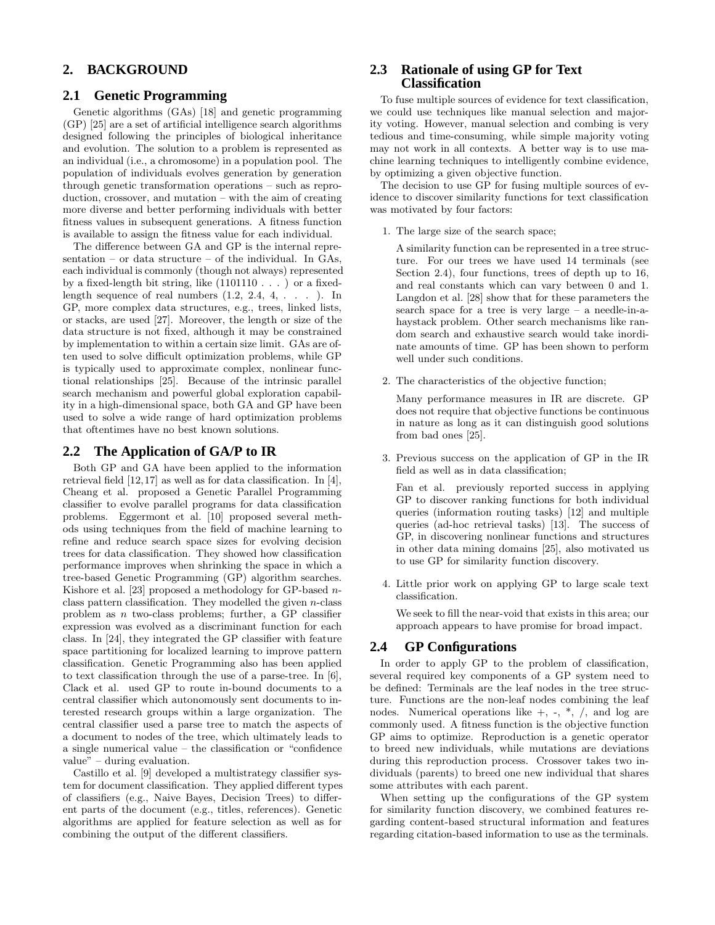## **2. BACKGROUND**

## **2.1 Genetic Programming**

Genetic algorithms (GAs) [18] and genetic programming (GP) [25] are a set of artificial intelligence search algorithms designed following the principles of biological inheritance and evolution. The solution to a problem is represented as an individual (i.e., a chromosome) in a population pool. The population of individuals evolves generation by generation through genetic transformation operations – such as reproduction, crossover, and mutation – with the aim of creating more diverse and better performing individuals with better fitness values in subsequent generations. A fitness function is available to assign the fitness value for each individual.

The difference between GA and GP is the internal representation – or data structure – of the individual. In GAs, each individual is commonly (though not always) represented by a fixed-length bit string, like (1101110 . . . ) or a fixedlength sequence of real numbers  $(1.2, 2.4, 4, \ldots)$ . In GP, more complex data structures, e.g., trees, linked lists, or stacks, are used [27]. Moreover, the length or size of the data structure is not fixed, although it may be constrained by implementation to within a certain size limit. GAs are often used to solve difficult optimization problems, while GP is typically used to approximate complex, nonlinear functional relationships [25]. Because of the intrinsic parallel search mechanism and powerful global exploration capability in a high-dimensional space, both GA and GP have been used to solve a wide range of hard optimization problems that oftentimes have no best known solutions.

## **2.2 The Application of GA/P to IR**

Both GP and GA have been applied to the information retrieval field [12,17] as well as for data classification. In [4], Cheang et al. proposed a Genetic Parallel Programming classifier to evolve parallel programs for data classification problems. Eggermont et al. [10] proposed several methods using techniques from the field of machine learning to refine and reduce search space sizes for evolving decision trees for data classification. They showed how classification performance improves when shrinking the space in which a tree-based Genetic Programming (GP) algorithm searches. Kishore et al. [23] proposed a methodology for GP-based *n*class pattern classification. They modelled the given *n*-class problem as *n* two-class problems; further, a GP classifier expression was evolved as a discriminant function for each class. In [24], they integrated the GP classifier with feature space partitioning for localized learning to improve pattern classification. Genetic Programming also has been applied to text classification through the use of a parse-tree. In [6], Clack et al. used GP to route in-bound documents to a central classifier which autonomously sent documents to interested research groups within a large organization. The central classifier used a parse tree to match the aspects of a document to nodes of the tree, which ultimately leads to a single numerical value – the classification or "confidence value" – during evaluation.

Castillo et al. [9] developed a multistrategy classifier system for document classification. They applied different types of classifiers (e.g., Naive Bayes, Decision Trees) to different parts of the document (e.g., titles, references). Genetic algorithms are applied for feature selection as well as for combining the output of the different classifiers.

## **2.3 Rationale of using GP for Text Classification**

To fuse multiple sources of evidence for text classification, we could use techniques like manual selection and majority voting. However, manual selection and combing is very tedious and time-consuming, while simple majority voting may not work in all contexts. A better way is to use machine learning techniques to intelligently combine evidence, by optimizing a given objective function.

The decision to use GP for fusing multiple sources of evidence to discover similarity functions for text classification was motivated by four factors:

1. The large size of the search space;

A similarity function can be represented in a tree structure. For our trees we have used 14 terminals (see Section 2.4), four functions, trees of depth up to 16, and real constants which can vary between 0 and 1. Langdon et al. [28] show that for these parameters the search space for a tree is very large – a needle-in-ahaystack problem. Other search mechanisms like random search and exhaustive search would take inordinate amounts of time. GP has been shown to perform well under such conditions.

2. The characteristics of the objective function;

Many performance measures in IR are discrete. GP does not require that objective functions be continuous in nature as long as it can distinguish good solutions from bad ones [25].

3. Previous success on the application of GP in the IR field as well as in data classification;

Fan et al. previously reported success in applying GP to discover ranking functions for both individual queries (information routing tasks) [12] and multiple queries (ad-hoc retrieval tasks) [13]. The success of GP, in discovering nonlinear functions and structures in other data mining domains [25], also motivated us to use GP for similarity function discovery.

4. Little prior work on applying GP to large scale text classification.

We seek to fill the near-void that exists in this area; our approach appears to have promise for broad impact.

## **2.4 GP Configurations**

In order to apply GP to the problem of classification, several required key components of a GP system need to be defined: Terminals are the leaf nodes in the tree structure. Functions are the non-leaf nodes combining the leaf nodes. Numerical operations like  $+$ ,  $-$ ,  $*$ ,  $/$ , and log are commonly used. A fitness function is the objective function GP aims to optimize. Reproduction is a genetic operator to breed new individuals, while mutations are deviations during this reproduction process. Crossover takes two individuals (parents) to breed one new individual that shares some attributes with each parent.

When setting up the configurations of the GP system for similarity function discovery, we combined features regarding content-based structural information and features regarding citation-based information to use as the terminals.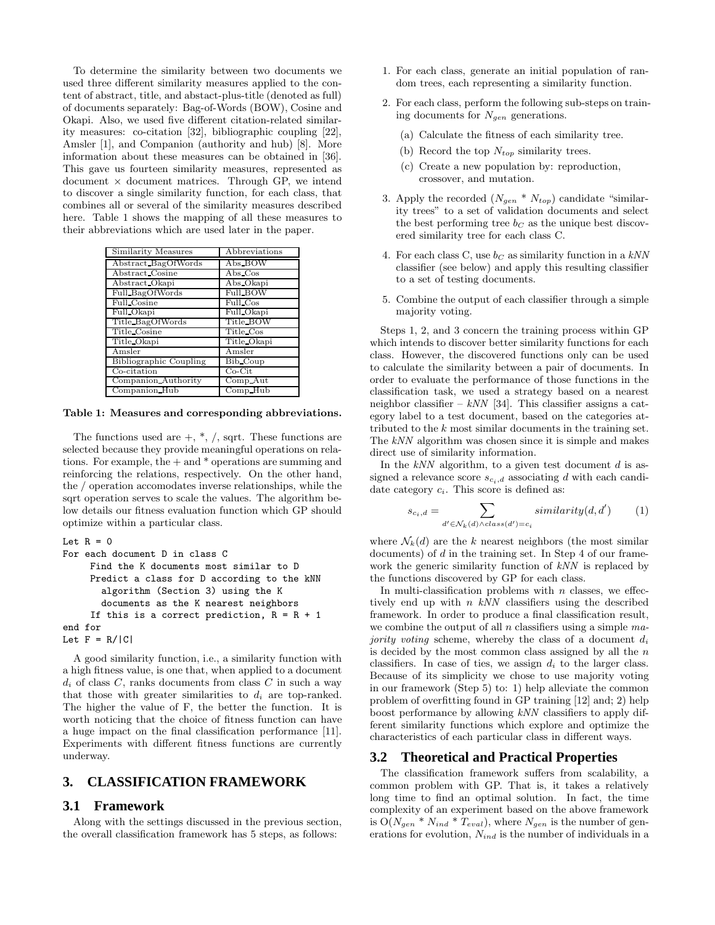To determine the similarity between two documents we used three different similarity measures applied to the content of abstract, title, and abstact-plus-title (denoted as full) of documents separately: Bag-of-Words (BOW), Cosine and Okapi. Also, we used five different citation-related similarity measures: co-citation [32], bibliographic coupling [22], Amsler [1], and Companion (authority and hub) [8]. More information about these measures can be obtained in [36]. This gave us fourteen similarity measures, represented as document *×* document matrices. Through GP, we intend to discover a single similarity function, for each class, that combines all or several of the similarity measures described here. Table 1 shows the mapping of all these measures to their abbreviations which are used later in the paper.

| Similarity Measures           | Abbreviations    |
|-------------------------------|------------------|
| Abstract_BagOfWords           | Abs_BOW          |
| Abstract Cosine               | $\lambda$ bs Cos |
| Abstract Okapi                | Abs_Okapi        |
| Full BagOfWords               | Full_BOW         |
| Full Cosine                   | Full Cos         |
| Full Okapi                    | Full Okapi       |
| Title_BagOfWords              | Title_BOW        |
| Title Cosine                  | Title Cos        |
| Title Okapi                   | Title Okapi      |
| Amsler                        | Amsler           |
| <b>Bibliographic Coupling</b> | Bib Coup         |
| Co-citation                   | $Co-Cit$         |
| Companion Authority           | Comp_Aut         |
| Companion Hub                 | Comp Hub         |

**Table 1: Measures and corresponding abbreviations.**

The functions used are  $+$ ,  $*$ ,  $/$ , sqrt. These functions are selected because they provide meaningful operations on relations. For example, the + and \* operations are summing and reinforcing the relations, respectively. On the other hand, the / operation accomodates inverse relationships, while the sqrt operation serves to scale the values. The algorithm below details our fitness evaluation function which GP should optimize within a particular class.

```
Let R = 0For each document D in class C
     Find the K documents most similar to D
     Predict a class for D according to the kNN
       algorithm (Section 3) using the K
       documents as the K nearest neighbors
     If this is a correct prediction, R = R + 1end for
Let F = R/|C|
```
A good similarity function, i.e., a similarity function with a high fitness value, is one that, when applied to a document  $d_i$  of class *C*, ranks documents from class *C* in such a way that those with greater similarities to  $d_i$  are top-ranked. The higher the value of F, the better the function. It is worth noticing that the choice of fitness function can have a huge impact on the final classification performance [11]. Experiments with different fitness functions are currently underway.

#### **3. CLASSIFICATION FRAMEWORK**

#### **3.1 Framework**

Along with the settings discussed in the previous section, the overall classification framework has 5 steps, as follows:

- 1. For each class, generate an initial population of random trees, each representing a similarity function.
- 2. For each class, perform the following sub-steps on training documents for *Ngen* generations.
	- (a) Calculate the fitness of each similarity tree.
	- (b) Record the top *Ntop* similarity trees.
	- (c) Create a new population by: reproduction, crossover, and mutation.
- 3. Apply the recorded  $(N_{gen} * N_{top})$  candidate "similarity trees" to a set of validation documents and select the best performing tree  $b<sub>C</sub>$  as the unique best discovered similarity tree for each class C.
- 4. For each class C, use *<sup>b</sup><sup>C</sup>* as similarity function in a *kNN* classifier (see below) and apply this resulting classifier to a set of testing documents.
- 5. Combine the output of each classifier through a simple majority voting.

Steps 1, 2, and 3 concern the training process within GP which intends to discover better similarity functions for each class. However, the discovered functions only can be used to calculate the similarity between a pair of documents. In order to evaluate the performance of those functions in the classification task, we used a strategy based on a nearest neighbor classifier –  $kNN$  [34]. This classifier assigns a category label to a test document, based on the categories attributed to the *k* most similar documents in the training set. The *kNN* algorithm was chosen since it is simple and makes direct use of similarity information.

In the *kNN* algorithm, to a given test document *<sup>d</sup>* is assigned a relevance score  $s_{c_i,d}$  associating *d* with each candidate category *ci*. This score is defined as:

$$
s_{c_i,d} = \sum_{d' \in \mathcal{N}_k(d) \land class(d') = c_i} similarity(d, d')
$$
 (1)

where  $\mathcal{N}_k(d)$  are the *k* nearest neighbors (the most similar documents) of *d* in the training set. In Step 4 of our framework the generic similarity function of *kNN* is replaced by the functions discovered by GP for each class.

In multi-classification problems with *n* classes, we effectively end up with *<sup>n</sup> kNN* classifiers using the described framework. In order to produce a final classification result, we combine the output of all *<sup>n</sup>* classifiers using a simple *majority voting* scheme, whereby the class of a document *<sup>d</sup><sup>i</sup>* is decided by the most common class assigned by all the *n* classifiers. In case of ties, we assign  $d_i$  to the larger class. Because of its simplicity we chose to use majority voting in our framework (Step 5) to: 1) help alleviate the common problem of overfitting found in GP training [12] and; 2) help boost performance by allowing *kNN* classifiers to apply different similarity functions which explore and optimize the characteristics of each particular class in different ways.

#### **3.2 Theoretical and Practical Properties**

The classification framework suffers from scalability, a common problem with GP. That is, it takes a relatively long time to find an optimal solution. In fact, the time complexity of an experiment based on the above framework is  $O(N_{gen} * N_{ind} * T_{eval})$ , where  $N_{gen}$  is the number of generations for evolution, *Nind* is the number of individuals in a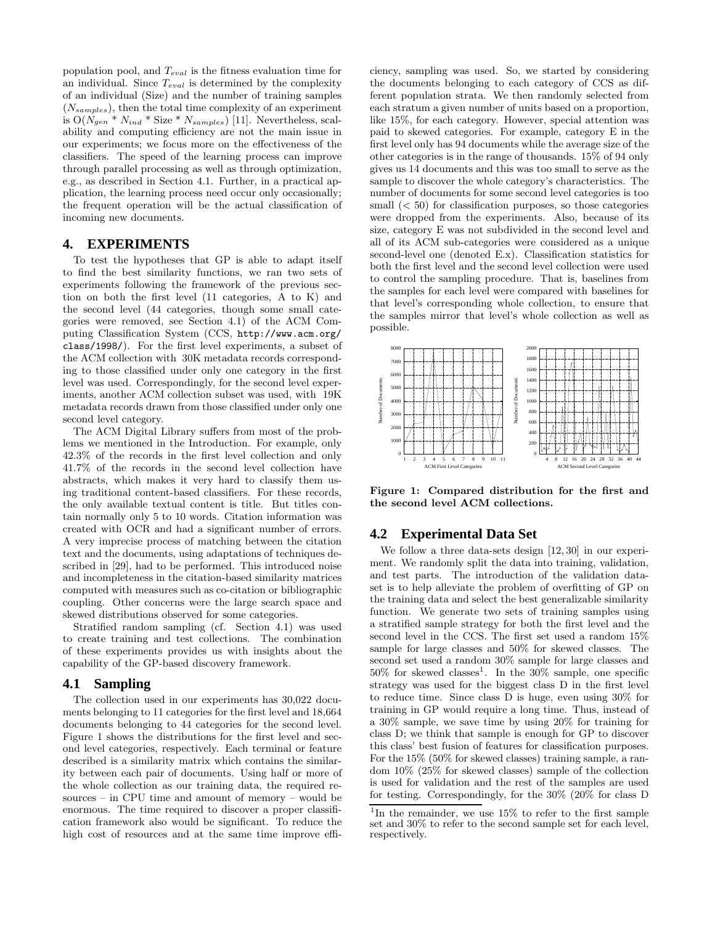population pool, and *Teval* is the fitness evaluation time for an individual. Since *Teval* is determined by the complexity of an individual (Size) and the number of training samples (*Nsamples*), then the total time complexity of an experiment is  $O(N_{gen} * N_{ind} * Size * N_{samples})$  [11]. Nevertheless, scalability and computing efficiency are not the main issue in our experiments; we focus more on the effectiveness of the classifiers. The speed of the learning process can improve through parallel processing as well as through optimization, e.g., as described in Section 4.1. Further, in a practical application, the learning process need occur only occasionally; the frequent operation will be the actual classification of incoming new documents.

#### **4. EXPERIMENTS**

To test the hypotheses that GP is able to adapt itself to find the best similarity functions, we ran two sets of experiments following the framework of the previous section on both the first level (11 categories, A to K) and the second level (44 categories, though some small categories were removed, see Section 4.1) of the ACM Computing Classification System (CCS, http://www.acm.org/ class/1998/). For the first level experiments, a subset of the ACM collection with 30K metadata records corresponding to those classified under only one category in the first level was used. Correspondingly, for the second level experiments, another ACM collection subset was used, with 19K metadata records drawn from those classified under only one second level category.

The ACM Digital Library suffers from most of the problems we mentioned in the Introduction. For example, only 42.3% of the records in the first level collection and only 41.7% of the records in the second level collection have abstracts, which makes it very hard to classify them using traditional content-based classifiers. For these records, the only available textual content is title. But titles contain normally only 5 to 10 words. Citation information was created with OCR and had a significant number of errors. A very imprecise process of matching between the citation text and the documents, using adaptations of techniques described in [29], had to be performed. This introduced noise and incompleteness in the citation-based similarity matrices computed with measures such as co-citation or bibliographic coupling. Other concerns were the large search space and skewed distributions observed for some categories.

Stratified random sampling (cf. Section 4.1) was used to create training and test collections. The combination of these experiments provides us with insights about the capability of the GP-based discovery framework.

#### **4.1 Sampling**

The collection used in our experiments has 30,022 documents belonging to 11 categories for the first level and 18,664 documents belonging to 44 categories for the second level. Figure 1 shows the distributions for the first level and second level categories, respectively. Each terminal or feature described is a similarity matrix which contains the similarity between each pair of documents. Using half or more of the whole collection as our training data, the required resources – in CPU time and amount of memory – would be enormous. The time required to discover a proper classification framework also would be significant. To reduce the high cost of resources and at the same time improve efficiency, sampling was used. So, we started by considering the documents belonging to each category of CCS as different population strata. We then randomly selected from each stratum a given number of units based on a proportion, like 15%, for each category. However, special attention was paid to skewed categories. For example, category E in the first level only has 94 documents while the average size of the other categories is in the range of thousands. 15% of 94 only gives us 14 documents and this was too small to serve as the sample to discover the whole category's characteristics. The number of documents for some second level categories is too small (*<* 50) for classification purposes, so those categories were dropped from the experiments. Also, because of its size, category E was not subdivided in the second level and all of its ACM sub-categories were considered as a unique second-level one (denoted E.x). Classification statistics for both the first level and the second level collection were used to control the sampling procedure. That is, baselines from the samples for each level were compared with baselines for that level's corresponding whole collection, to ensure that the samples mirror that level's whole collection as well as possible.



**Figure 1: Compared distribution for the first and the second level ACM collections.**

#### **4.2 Experimental Data Set**

We follow a three data-sets design [12, 30] in our experiment. We randomly split the data into training, validation, and test parts. The introduction of the validation dataset is to help alleviate the problem of overfitting of GP on the training data and select the best generalizable similarity function. We generate two sets of training samples using a stratified sample strategy for both the first level and the second level in the CCS. The first set used a random 15% sample for large classes and 50% for skewed classes. The second set used a random 30% sample for large classes and  $50\%$  for skewed classes<sup>1</sup>. In the  $30\%$  sample, one specific strategy was used for the biggest class D in the first level to reduce time. Since class D is huge, even using 30% for training in GP would require a long time. Thus, instead of a 30% sample, we save time by using 20% for training for class D; we think that sample is enough for GP to discover this class' best fusion of features for classification purposes. For the 15% (50% for skewed classes) training sample, a random 10% (25% for skewed classes) sample of the collection is used for validation and the rest of the samples are used for testing. Correspondingly, for the 30% (20% for class D

<sup>&</sup>lt;sup>1</sup>In the remainder, we use  $15\%$  to refer to the first sample set and 30% to refer to the second sample set for each level, respectively.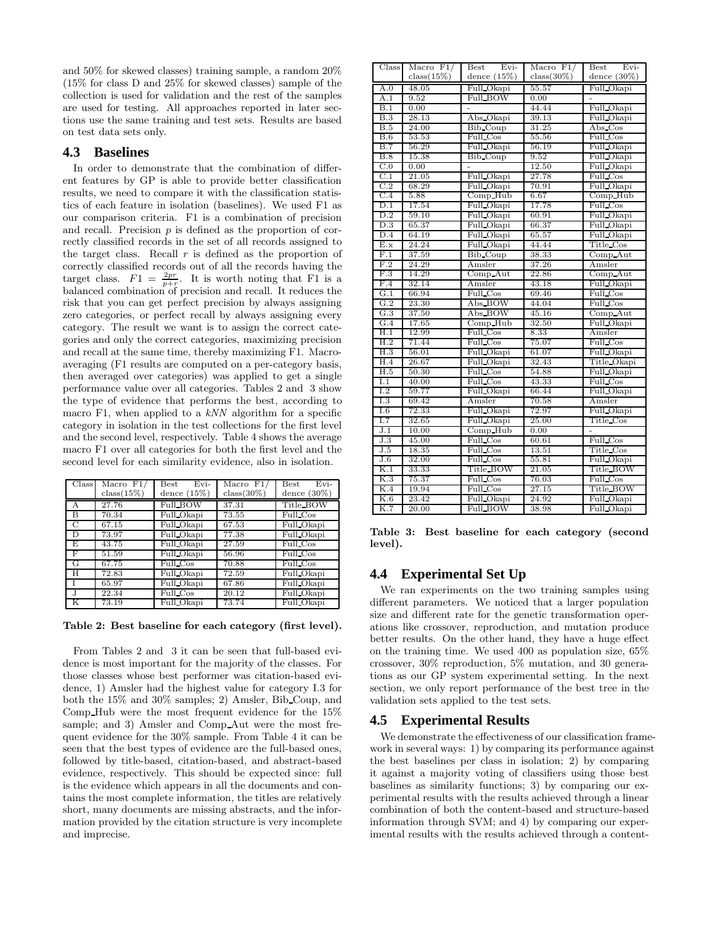and 50% for skewed classes) training sample, a random 20% (15% for class D and 25% for skewed classes) sample of the collection is used for validation and the rest of the samples are used for testing. All approaches reported in later sections use the same training and test sets. Results are based on test data sets only.

#### **4.3 Baselines**

In order to demonstrate that the combination of different features by GP is able to provide better classification results, we need to compare it with the classification statistics of each feature in isolation (baselines). We used F1 as our comparison criteria. F1 is a combination of precision and recall. Precision *p* is defined as the proportion of correctly classified records in the set of all records assigned to the target class. Recall *r* is defined as the proportion of correctly classified records out of all the records having the target class.  $F1 = \frac{2pr}{p+r}$ . It is worth noting that F1 is a balanced combination of precision and recall. It reduces the risk that you can get perfect precision by always assigning zero categories, or perfect recall by always assigning every category. The result we want is to assign the correct categories and only the correct categories, maximizing precision and recall at the same time, thereby maximizing F1. Macroaveraging (F1 results are computed on a per-category basis, then averaged over categories) was applied to get a single performance value over all categories. Tables 2 and 3 show the type of evidence that performs the best, according to macro F1, when applied to a *kNN* algorithm for a specific category in isolation in the test collections for the first level and the second level, respectively. Table 4 shows the average macro F1 over all categories for both the first level and the second level for each similarity evidence, also in isolation.

| $\overline{\text{Class}}$ | $\overline{\text{Macc}}$ F1/<br>$class(15\%)$ | Evi-<br>Best<br>dence $(15%)$ | Macro $F1/$<br>$class(30\%)$ | $Evi-$<br><b>Best</b><br>dence $(30\%)$ |  |  |  |  |  |
|---------------------------|-----------------------------------------------|-------------------------------|------------------------------|-----------------------------------------|--|--|--|--|--|
|                           |                                               |                               |                              |                                         |  |  |  |  |  |
| А                         | 27.76                                         | Full_BOW                      | 37.31                        | Title_BOW                               |  |  |  |  |  |
| В                         | 70.34                                         | Full Okapi                    | Full Cos<br>73.55            |                                         |  |  |  |  |  |
| C                         | 67.15                                         | Full Okapi                    | 67.53                        | Full Okapi                              |  |  |  |  |  |
| D                         | 73.97                                         | Full Okapi                    | 77.38                        | Full Okapi                              |  |  |  |  |  |
| F.                        | 43.75                                         | Full Okapi                    | 27.59                        | Full Cos                                |  |  |  |  |  |
| F                         | 51.59                                         | Full Okapi                    | 56.96                        | Full Cos                                |  |  |  |  |  |
| G                         | 67.75                                         | Full Cos                      | 70.88                        | Full_Cos                                |  |  |  |  |  |
| H                         | 72.83                                         | Full Okapi                    | 72.59                        | Full Okapi                              |  |  |  |  |  |
|                           | 65.97                                         | Full Okapi                    | 67.86                        | Full Okapi                              |  |  |  |  |  |
| $\cdot$                   | 22.34                                         | Full Cos                      | 20.12                        | Full Okapi                              |  |  |  |  |  |
| K                         | 73.19                                         | Full Okapi                    | 73.74                        | Full Okapi                              |  |  |  |  |  |

**Table 2: Best baseline for each category (first level).**

From Tables 2 and 3 it can be seen that full-based evidence is most important for the majority of the classes. For those classes whose best performer was citation-based evidence, 1) Amsler had the highest value for category I.3 for both the 15% and 30% samples; 2) Amsler, Bib Coup, and Comp Hub were the most frequent evidence for the 15% sample; and 3) Amsler and Comp\_Aut were the most frequent evidence for the 30% sample. From Table 4 it can be seen that the best types of evidence are the full-based ones, followed by title-based, citation-based, and abstract-based evidence, respectively. This should be expected since: full is the evidence which appears in all the documents and contains the most complete information, the titles are relatively short, many documents are missing abstracts, and the information provided by the citation structure is very incomplete and imprecise.

| Class            | Macro $F1/$   | Evi-<br><b>Best</b> | Macro $F1/$   | Evi-<br>Best   |
|------------------|---------------|---------------------|---------------|----------------|
|                  | $class(15\%)$ | dence $(15%)$       | $class(30\%)$ | dence $(30\%)$ |
| A.0              | 48.05         | Full_Okapi          | 55.57         | Full_Okapi     |
| A.1              | 9.52          | Full_BOW            | 0.00          |                |
| B.1              | 0.00          | $\overline{a}$      | 44.44         | Full Okapi     |
| <b>B.3</b>       | 28.13         | Abs_Okapi           | 39.13         | Full_Okapi     |
| B.5              | 24.00         | Bib_Coup            | 31.25         | Abs Cos        |
| B.6              | 53.53         | Full Cos            | 55.56         | Full Cos       |
| B.7              | 56.29         | Full_Okapi          | 56.19         | Full Okapi     |
| B.8              | 15.38         | Bib Coup            | 9.52          | Full Okapi     |
| C.0              | 0.00          |                     | 12.50         | Full_Okapi     |
| $\overline{C.1}$ | 21.05         | Full_Okapi          | 27.78         | Full Cos       |
| C.2              | 68.29         | Full Okapi          | 70.91         | Full Okapi     |
| C.4              | 5.88          | Comp_Hub            | 6.67          | Comp_Hub       |
| D.1              | 17.54         | Full_Okapi          | 17.78         | Full Cos       |
| D.2              | 59.10         | Full Okapi          | 60.91         | Full Okapi     |
| D.3              | 65.37         | Full_Okapi          | 66.37         | Full Okapi     |
| D.4              | 64.19         | Full_Okapi          | 65.57         | Full Okapi     |
| E.x              | 24.24         | Full_Okapi          | 44.44         | Title_Cos      |
| F.1              | 37.59         | Bib_Coup            | 38.33         | $Comp\_Aut$    |
| F.2              | 24.29         | Amsler              | 37.26         | Amsler         |
| F.3              | 14.29         | Comp_Aut            | 22.86         | Comp_Aut       |
| F.4              | 32.14         | Amsler              | 43.18         | Full Okapi     |
| G.1              | 66.94         | Full_Cos            | 69.46         | Full_Cos       |
| G.2              | 23.30         | Abs_BOW             | 44.04         | Full_Cos       |
| G.3              | 37.50         | Abs_BOW             | 45.16         | Comp_Aut       |
| G.4              | 17.65         | Comp_Hub            | 32.50         | Full Okapi     |
| H.1              | 12.99         | Full_Cos            | 8.33          | Amsler         |
| H.2              | 71.44         | Full Cos            | 75.07         | Full Cos       |
| H.3              | 56.01         | Full_Okapi          | 61.07         | Full Okapi     |
| H.4              | 26.67         | Full_Okapi          | 32.43         | Title_Okapi    |
| H.5              | 50.30         | Full Cos            | 54.88         | Full Okapi     |
| I.1              | 40.00         | Full_Cos            | 43.33         | Full Cos       |
| $\overline{1.2}$ | 59.77         | Full_Okapi          | 66.44         | Full_Okapi     |
| $\overline{1.3}$ | 69.42         | Amsler              | 70.58         | Amsler         |
| 1.6              | 72.33         | Full_Okapi          | 72.97         | Full Okapi     |
| 1.7              | 32.65         | Full_Okapi          | 25.00         | Title_Cos      |
| J.1              | 10.00         | $Comp_Hub$          | 0.00          |                |
| J.3              | 45.00         | Full_Cos            | 60.61         | Full_Cos       |
| J.5              | 18.35         | Full Cos            | 13.51         | Title Cos      |
| J.6              | 32.00         | Full_Cos            | 55.81         | Full_Okapi     |
| K.1              | 33.33         | Title_BOW           | 21.05         | Title_BOW      |
| K.3              | 75.37         | Full_Cos            | 76.03         | Full Cos       |
| K.4              | 19.94         | Full Cos            | 27.15         | Title BOW      |
| K.6              | 23.42         | Full Okapi          | 24.92         | Full Okapi     |
| K.7              | 20.00         | Full_BOW            | 38.98         | Full Okapi     |

**Table 3: Best baseline for each category (second level).**

## **4.4 Experimental Set Up**

We ran experiments on the two training samples using different parameters. We noticed that a larger population size and different rate for the genetic transformation operations like crossover, reproduction, and mutation produce better results. On the other hand, they have a huge effect on the training time. We used 400 as population size, 65% crossover, 30% reproduction, 5% mutation, and 30 generations as our GP system experimental setting. In the next section, we only report performance of the best tree in the validation sets applied to the test sets.

#### **4.5 Experimental Results**

We demonstrate the effectiveness of our classification framework in several ways: 1) by comparing its performance against the best baselines per class in isolation; 2) by comparing it against a majority voting of classifiers using those best baselines as similarity functions; 3) by comparing our experimental results with the results achieved through a linear combination of both the content-based and structure-based information through SVM; and 4) by comparing our experimental results with the results achieved through a content-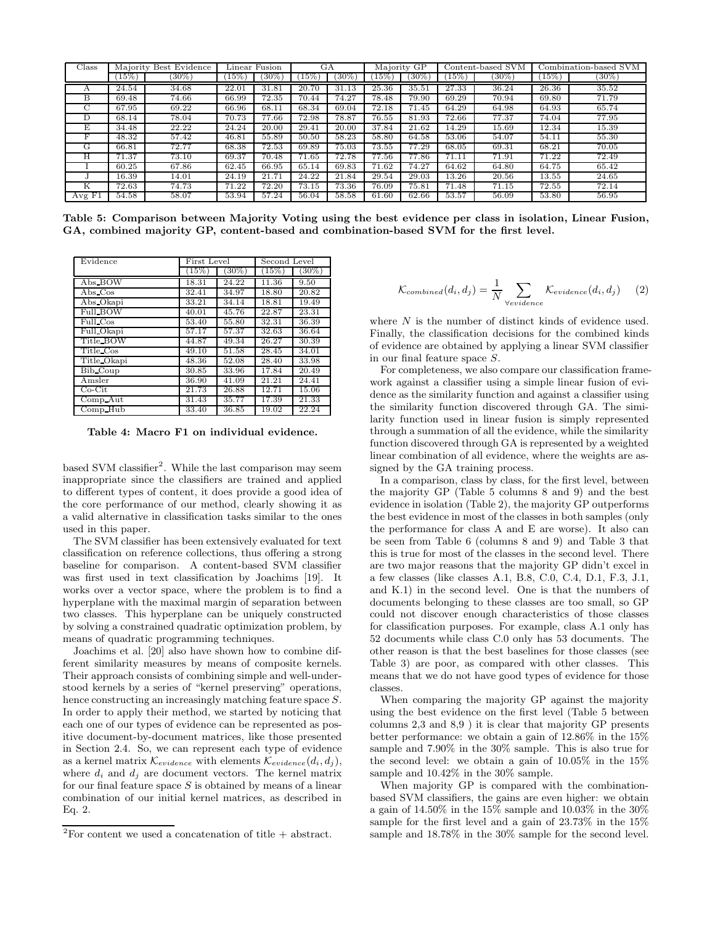| $\text{Class}$ | Majority Best Evidence |        |       | Linear Fusion<br>GA |        |          | Majority GP |          | Content-based SVM |          | Combination-based SVM |          |
|----------------|------------------------|--------|-------|---------------------|--------|----------|-------------|----------|-------------------|----------|-----------------------|----------|
|                | $15\%$                 | $30\%$ | 15%   | $30\%$              | $15\%$ | $(30\%)$ | $15\%$      | $(30\%)$ | $15\%$            | $(30\%)$ | (15%)                 | $(30\%)$ |
|                | 24.54                  | 34.68  | 22.01 | 31.81               | 20.70  | 31.13    | 25.36       | 35.51    | 27.33             | 36.24    | 26.36                 | 35.52    |
| B              | 69.48                  | 74.66  | 66.99 | 72.35               | 70.44  | 74.27    | 78.48       | 79.90    | 69.29             | 70.94    | 69.80                 | 71.79    |
|                | 67.95                  | 69.22  | 66.96 | 68.11               | 68.34  | 69.04    | 72.18       | 71.45    | 64.29             | 64.98    | 64.93                 | 65.74    |
| Ð              | 68.14                  | 78.04  | 70.73 | 77.66               | 72.98  | 78.87    | 76.55       | 81.93    | 72.66             | 77.37    | 74.04                 | 77.95    |
| E              | 34.48                  | 22.22  | 24.24 | 20.00               | 29.41  | 20.00    | 37.84       | 21.62    | 14.29             | 15.69    | 12.34                 | 15.39    |
|                | 48.32                  | 57.42  | 46.81 | 55.89               | 50.50  | 58.23    | 58.80       | 64.58    | 53.06             | 54.07    | 54.11                 | 55.30    |
| G              | 66.81                  | 72.77  | 68.38 | 72.53               | 69.89  | 75.03    | 73.55       | 77.29    | 68.05             | 69.31    | 68.21                 | 70.05    |
| н              | 71.37                  | 73.10  | 69.37 | 70.48               | 71.65  | 72.78    | 77.56       | 77.86    | 71.11             | 71.91    | 71.22                 | 72.49    |
|                | 60.25                  | 67.86  | 62.45 | 66.95               | 65.14  | 69.83    | 71.62       | 74.27    | 64.62             | 64.80    | 64.75                 | 65.42    |
|                | 16.39                  | 14.01  | 24.19 | 21.71               | 24.22  | 21.84    | 29.54       | 29.03    | 13.26             | 20.56    | 13.55                 | 24.65    |
| K              | 72.63                  | 74.73  | 71.22 | 72.20               | 73.15  | 73.36    | 76.09       | 75.81    | 71.48             | 71.15    | 72.55                 | 72.14    |
| AvgF1          | 54.58                  | 58.07  | 53.94 | 57.24               | 56.04  | 58.58    | 61.60       | 62.66    | 53.57             | 56.09    | 53.80                 | 56.95    |

**Table 5: Comparison between Majority Voting using the best evidence per class in isolation, Linear Fusion, GA, combined majority GP, content-based and combination-based SVM for the first level.**

| Evidence        | First Level |         | Second Level |                    |  |  |
|-----------------|-------------|---------|--------------|--------------------|--|--|
|                 | (15%)       | $30\%)$ | $(15\%)$     | $30\%)$            |  |  |
| Abs_BOW         | 18.31       | 24.22   | 11.36        | 9.50               |  |  |
| Abs Cos         | 32.41       | 34.97   | 18.80        | 20.82              |  |  |
| Abs Okapi       | 33.21       | 34.14   | 18.81        | 19.49              |  |  |
| <b>Full BOW</b> | 40.01       | 45.76   | 22.87        | 23.31              |  |  |
| $Full$ $Cos$    | 53.40       | 55.80   | 32.31        | 36.39              |  |  |
| Full Okapi      | 57.17       | 57.37   | 32.63        | 36.64              |  |  |
| Title BOW       | 44.87       | 49.34   | 26.27        | 30.39              |  |  |
| Title Cos       | 49.10       | 51.58   | 28.45        | 34.01              |  |  |
| Title Okapi     | 48.36       | 52.08   | 28.40        | 33.98              |  |  |
| Bib_Coup        | 30.85       | 33.96   | 17.84        | 20.49              |  |  |
| Amsler          | 36.90       | 41.09   | 21.21        | $\overline{24.41}$ |  |  |
| $Co-Cit$        | 21.73       | 26.88   | 12.71        | 15.06              |  |  |
| $Comp$ Aut      | 31.43       | 35.77   | 17.39        | 21.33              |  |  |
| Comp_Hub        | 33.40       | 36.85   | 19.02        | 22.24              |  |  |

**Table 4: Macro F1 on individual evidence.**

based SVM classifier<sup>2</sup>. While the last comparison may seem inappropriate since the classifiers are trained and applied to different types of content, it does provide a good idea of the core performance of our method, clearly showing it as a valid alternative in classification tasks similar to the ones used in this paper.

The SVM classifier has been extensively evaluated for text classification on reference collections, thus offering a strong baseline for comparison. A content-based SVM classifier was first used in text classification by Joachims [19]. It works over a vector space, where the problem is to find a hyperplane with the maximal margin of separation between two classes. This hyperplane can be uniquely constructed by solving a constrained quadratic optimization problem, by means of quadratic programming techniques.

Joachims et al. [20] also have shown how to combine different similarity measures by means of composite kernels. Their approach consists of combining simple and well-understood kernels by a series of "kernel preserving" operations, hence constructing an increasingly matching feature space *S*. In order to apply their method, we started by noticing that each one of our types of evidence can be represented as positive document-by-document matrices, like those presented in Section 2.4. So, we can represent each type of evidence as a kernel matrix  $\mathcal{K}_{evidence}$  with elements  $\mathcal{K}_{evidence}(d_i, d_j)$ , where  $d_i$  and  $d_j$  are document vectors. The kernel matrix for our final feature space *S* is obtained by means of a linear combination of our initial kernel matrices, as described in Eq. 2.

$$
\mathcal{K}_{combined}(d_i, d_j) = \frac{1}{N} \sum_{\forall evidence} \mathcal{K}_{evidence}(d_i, d_j) \tag{2}
$$

where *N* is the number of distinct kinds of evidence used. Finally, the classification decisions for the combined kinds of evidence are obtained by applying a linear SVM classifier in our final feature space *S*.

For completeness, we also compare our classification framework against a classifier using a simple linear fusion of evidence as the similarity function and against a classifier using the similarity function discovered through GA. The similarity function used in linear fusion is simply represented through a summation of all the evidence, while the similarity function discovered through GA is represented by a weighted linear combination of all evidence, where the weights are assigned by the GA training process.

In a comparison, class by class, for the first level, between the majority GP (Table 5 columns 8 and 9) and the best evidence in isolation (Table 2), the majority GP outperforms the best evidence in most of the classes in both samples (only the performance for class A and E are worse). It also can be seen from Table 6 (columns 8 and 9) and Table 3 that this is true for most of the classes in the second level. There are two major reasons that the majority GP didn't excel in a few classes (like classes A.1, B.8, C.0, C.4, D.1, F.3, J.1, and K.1) in the second level. One is that the numbers of documents belonging to these classes are too small, so GP could not discover enough characteristics of those classes for classification purposes. For example, class A.1 only has 52 documents while class C.0 only has 53 documents. The other reason is that the best baselines for those classes (see Table 3) are poor, as compared with other classes. This means that we do not have good types of evidence for those classes.

When comparing the majority GP against the majority using the best evidence on the first level (Table 5 between columns 2,3 and 8,9 ) it is clear that majority GP presents better performance: we obtain a gain of 12.86% in the 15% sample and 7.90% in the 30% sample. This is also true for the second level: we obtain a gain of 10.05% in the 15% sample and 10.42% in the 30% sample.

When majority GP is compared with the combinationbased SVM classifiers, the gains are even higher: we obtain a gain of 14.50% in the 15% sample and 10.03% in the 30% sample for the first level and a gain of 23.73% in the 15% sample and 18.78% in the 30% sample for the second level.

 $^2\rm{For}$  content we used a concatenation of title  $+$  abstract.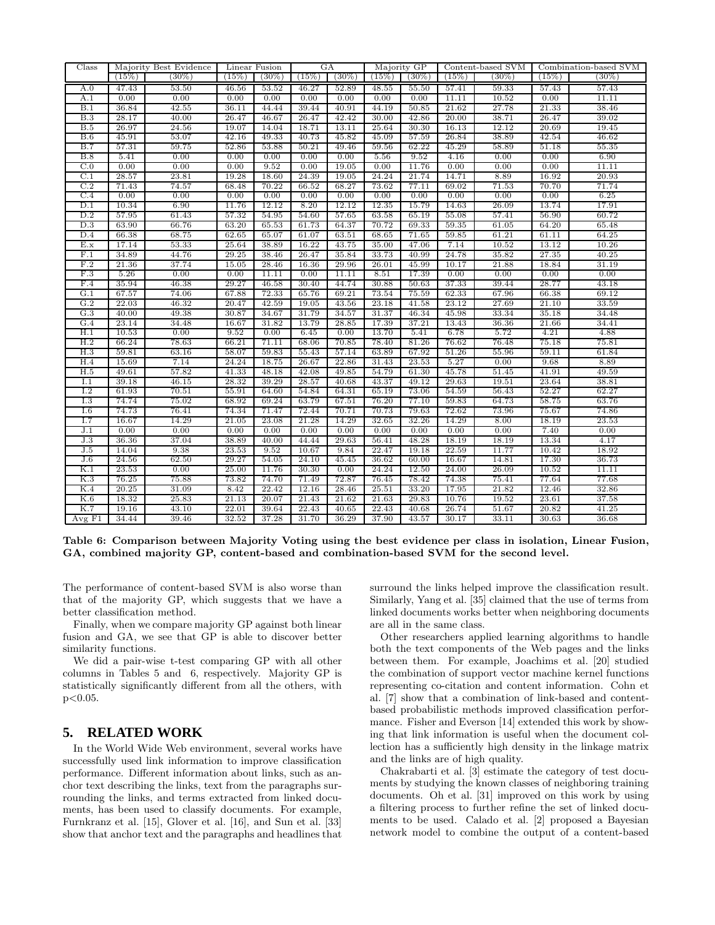| $\rm Class$ |               | Majority Best Evidence | Linear Fusion |                |               | GA             |               | Majority GP    |                | Content-based SVM |                | Combination-based SVM |
|-------------|---------------|------------------------|---------------|----------------|---------------|----------------|---------------|----------------|----------------|-------------------|----------------|-----------------------|
|             | (15%)         | $(30\%)$               | (15%)         | $(30\%)$       | (15%)         | $(30\%)$       | (15%)         | $(30\%)$       | (15%)          | $(30\%)$          | (15%)          | $(30\%)$              |
| A.0         | 47.43         | 53.50                  | 46.56         | 53.52          | 46.27         | 52.89          | 48.55         | 55.50          | 57.41          | 59.33             | 57.43          | 57.43                 |
| A.1         | 0.00          | 0.00                   | 0.00          | 0.00           | 0.00          | 0.00           | 0.00          | 0.00           | 11.11          | 10.52             | 0.00           | 11.11                 |
| B.1         | 36.84         | 42.55                  | 36.11         | 44.44          | 39.44         | 40.91          | 44.19         | 50.85          | 21.62          | 27.78             | 21.33          | 38.46                 |
| B.3         | 28.17         | 40.00                  | 26.47         | 46.67          | 26.47         | 42.42          | 30.00         | 42.86          | 20.00          | 38.71             | 26.47          | 39.02                 |
| B.5         | 26.97         | 24.56                  | 19.07         | 14.04          | 18.71         | 13.11          | 25.64         | 30.30          | 16.13          | 12.12             | 20.69          | 19.45                 |
| B.6         | 45.91         | 53.07                  | 42.16         | 49.33          | 40.73         | 45.82          | 45.09         | 57.59          | 26.84          | 38.89             | 42.54          | 46.62                 |
| B.7         | 57.31         | 59.75                  | 52.86         | 53.88          | 50.21         | 49.46          | 59.56         | 62.22          | 45.29          | 58.89             | 51.18          | 55.35                 |
| B.8         | 5.41          | 0.00                   | 0.00          | 0.00           | 0.00          | 0.00           | 5.56          | 9.52           | 4.16           | 0.00              | 0.00           | 6.90                  |
| C.0         | 0.00          | 0.00                   | 0.00          | 9.52           | 0.00          | 19.05          | 0.00          | 11.76          | 0.00           | 0.00              | 0.00           | 11.11                 |
| C.1         | 28.57         | 23.81                  | 19.28         | 18.60          | 24.39         | 19.05          | 24.24         | 21.74          | 14.71          | 8.89              | 16.92          | 20.93                 |
| C.2         | 71.43         | 74.57                  | 68.48         | 70.22          | 66.52         | 68.27          | 73.62         | 77.11          | 69.02          | 71.53             | 70.70          | 71.74                 |
| C.4         | 0.00          | 0.00                   | 0.00          | 0.00           | 0.00          | 0.00           | 0.00          | 0.00           | 0.00           | 0.00              | 0.00           | 6.25                  |
| D.1         | 10.34         | 6.90                   | 11.76         | 12.12          | 8.20          | 12.12          | 12.35         | 15.79          | 14.63          | 26.09             | 13.74          | 17.91                 |
| D.2         | 57.95         | 61.43                  | 57.32         | 54.95          | 54.60         | 57.65          | 63.58         | 65.19          | 55.08          | 57.41             | 56.90          | 60.72                 |
| D.3         | 63.90         | 66.76                  | 63.20         | 65.53          | 61.73         | 64.37          | 70.72         | 69.33          | 59.35          | 61.05             | 64.20          | 65.48                 |
| D.4         | 66.38         | 68.75                  | 62.65         | 65.07          | 61.07         | 63.51          | 68.65         | 71.65          | 59.85          | 61.21             | 61.11          | 64.25                 |
| E.x         | 17.14         | 53.33                  | 25.64         | 38.89          | 16.22         | 43.75          | 35.00         | 47.06          | 7.14           | 10.52             | 13.12          | 10.26                 |
| F.1         | 34.89         | 44.76                  | 29.25         | 38.46          | 26.47         | 35.84          | 33.73         | 40.99          | 24.78          | 35.82             | 27.35          | 40.25                 |
| F.2         | 21.36<br>5.26 | 37.74                  | 15.05         | 28.46          | 16.36         | 29.96          | 26.01         | 45.99<br>17.39 | 10.17          | 21.88             | 18.84          | 31.19                 |
| F.3<br>F.4  | 35.94         | 0.00<br>46.38          | 0.00<br>29.27 | 11.11<br>46.58 | 0.00<br>30.40 | 11.11<br>44.74 | 8.51<br>30.88 | 50.63          | 0.00<br>37.33  | 0.00<br>39.44     | 0.00<br>28.77  | 0.00<br>43.18         |
| G.1         | 67.57         | 74.06                  | 67.88         | 72.33          | 65.76         | 69.21          | 73.54         | 75.59          |                |                   |                | 69.12                 |
| G.2         | 22.03         | 46.32                  | 20.47         | 42.59          | 19.05         |                | 23.18         | 41.58          | 62.33<br>23.12 | 67.96<br>27.69    | 66.38<br>21.10 | 33.59                 |
| G.3         | 40.00         | 49.38                  | 30.87         | 34.67          | 31.79         | 43.56<br>34.57 | 31.37         | 46.34          | 45.98          | 33.34             | 35.18          | 34.48                 |
| G.4         | 23.14         | 34.48                  | 16.67         | 31.82          | 13.79         | 28.85          | 17.39         | 37.21          | 13.43          | 36.36             | 21.66          | 34.41                 |
| H.1         | 10.53         | 0.00                   | 9.52          | 0.00           | 6.45          | 0.00           | 13.70         | 5.41           | 6.78           | 5.72              | 4.21           | 4.88                  |
| H.2         | 66.24         | 78.63                  | 66.21         | 71.11          | 68.06         | 70.85          | 78.40         | 81.26          | 76.62          | 76.48             | 75.18          | 75.81                 |
| H.3         | 59.81         | 63.16                  | 58.07         | 59.83          | 55.43         | 57.14          | 63.89         | 67.92          | 51.26          | 55.96             | 59.11          | 61.84                 |
| H.4         | 15.69         | 7.14                   | 24.24         | 18.75          | 26.67         | 22.86          | 31.43         | 23.53          | 5.27           | 0.00              | 9.68           | 8.89                  |
| H.5         | 49.61         | 57.82                  | 41.33         | 48.18          | 42.08         | 49.85          | 54.79         | 61.30          | 45.78          | 51.45             | 41.91          | 49.59                 |
| I.1         | 39.18         | 46.15                  | 28.32         | 39.29          | 28.57         | 40.68          | 43.37         | 49.12          | 29.63          | 19.51             | 23.64          | 38.81                 |
| 1.2         | 61.93         | 70.51                  | 55.91         | 64.60          | 54.84         | 64.31          | 65.19         | 73.06          | 54.59          | 56.43             | 52.27          | 62.27                 |
| 1.3         | 74.74         | 75.02                  | 68.92         | 69.24          | 63.79         | 67.51          | 76.20         | 77.10          | 59.83          | 64.73             | 58.75          | 63.76                 |
| I.6         | 74.73         | 76.41                  | 74.34         | 71.47          | 72.44         | 70.71          | 70.73         | 79.63          | 72.62          | 73.96             | 75.67          | 74.86                 |
| I.7         | 16.67         | 14.29                  | 21.05         | 23.08          | 21.28         | 14.29          | 32.65         | 32.26          | 14.29          | 8.00              | 18.19          | 23.53                 |
| J.1         | 0.00          | 0.00                   | 0.00          | 0.00           | 0.00          | 0.00           | 0.00          | 0.00           | 0.00           | 0.00              | 7.40           | 0.00                  |
| J.3         | 36.36         | 37.04                  | 38.89         | 40.00          | 44.44         | 29.63          | 56.41         | 48.28          | 18.19          | 18.19             | 13.34          | 4.17                  |
| J.5         | 14.04         | 9.38                   | 23.53         | 9.52           | 10.67         | 9.84           | 22.47         | 19.18          | 22.59          | 11.77             | 10.42          | 18.92                 |
| J.6         | 24.56         | 62.50                  | 29.27         | 54.05          | 24.10         | 45.45          | 36.62         | 60.00          | 16.67          | 14.81             | 17.30          | 36.73                 |
| K.1         | 23.53         | 0.00                   | 25.00         | 11.76          | 30.30         | 0.00           | 24.24         | 12.50          | 24.00          | 26.09             | 10.52          | 11.11                 |
| K.3         | 76.25         | 75.88                  | 73.82         | 74.70          | 71.49         | 72.87          | 76.45         | 78.42          | 74.38          | 75.41             | 77.64          | 77.68                 |
| K.4         | 20.25         | 31.09                  | 8.42          | 22.42          | 12.16         | 28.46          | 25.51         | 33.20          | 17.95          | 21.82             | 12.46          | 32.86                 |
| K.6         | 18.32         | 25.83                  | 21.13         | 20.07          | 21.43         | 21.62          | 21.63         | 29.83          | 10.76          | 19.52             | 23.61          | 37.58                 |
| K.7         | 19.16         | 43.10                  | 22.01         | 39.64          | 22.43         | 40.65          | 22.43         | 40.68          | 26.74          | 51.67             | 20.82          | 41.25                 |
| AvgF1       | 34.44         | 39.46                  | 32.52         | 37.28          | 31.70         | 36.29          | 37.90         | 43.57          | 30.17          | 33.11             | 30.63          | 36.68                 |

**Table 6: Comparison between Majority Voting using the best evidence per class in isolation, Linear Fusion, GA, combined majority GP, content-based and combination-based SVM for the second level.**

The performance of content-based SVM is also worse than that of the majority GP, which suggests that we have a better classification method.

Finally, when we compare majority GP against both linear fusion and GA, we see that GP is able to discover better similarity functions.

We did a pair-wise t-test comparing GP with all other columns in Tables 5 and 6, respectively. Majority GP is statistically significantly different from all the others, with p*<*0.05.

## **5. RELATED WORK**

In the World Wide Web environment, several works have successfully used link information to improve classification performance. Different information about links, such as anchor text describing the links, text from the paragraphs surrounding the links, and terms extracted from linked documents, has been used to classify documents. For example, Furnkranz et al. [15], Glover et al. [16], and Sun et al. [33] show that anchor text and the paragraphs and headlines that

surround the links helped improve the classification result. Similarly, Yang et al. [35] claimed that the use of terms from linked documents works better when neighboring documents are all in the same class.

Other researchers applied learning algorithms to handle both the text components of the Web pages and the links between them. For example, Joachims et al. [20] studied the combination of support vector machine kernel functions representing co-citation and content information. Cohn et al. [7] show that a combination of link-based and contentbased probabilistic methods improved classification performance. Fisher and Everson [14] extended this work by showing that link information is useful when the document collection has a sufficiently high density in the linkage matrix and the links are of high quality.

Chakrabarti et al. [3] estimate the category of test documents by studying the known classes of neighboring training documents. Oh et al. [31] improved on this work by using a filtering process to further refine the set of linked documents to be used. Calado et al. [2] proposed a Bayesian network model to combine the output of a content-based